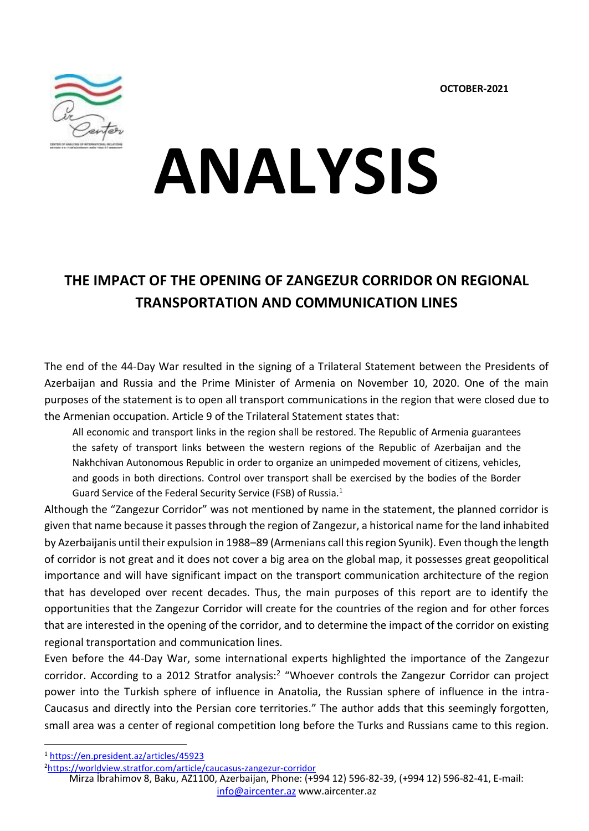

# **ANALYSIS**

# **THE IMPACT OF THE OPENING OF ZANGEZUR CORRIDOR ON REGIONAL TRANSPORTATION AND COMMUNICATION LINES**

The end of the 44-Day War resulted in the signing of a Trilateral Statement between the Presidents of Azerbaijan and Russia and the Prime Minister of Armenia on November 10, 2020. One of the main purposes of the statement is to open all transport communications in the region that were closed due to the Armenian occupation. Article 9 of the Trilateral Statement states that:

All economic and transport links in the region shall be restored. The Republic of Armenia guarantees the safety of transport links between the western regions of the Republic of Azerbaijan and the Nakhchivan Autonomous Republic in order to organize an unimpeded movement of citizens, vehicles, and goods in both directions. Control over transport shall be exercised by the bodies of the Border Guard Service of the Federal Security Service (FSB) of Russia.<sup>1</sup>

Although the "Zangezur Corridor" was not mentioned by name in the statement, the planned corridor is given that name because it passes through the region of Zangezur, a historical name for the land inhabited by Azerbaijanis until their expulsion in 1988–89 (Armenians call this region Syunik). Even though the length of corridor is not great and it does not cover a big area on the global map, it possesses great geopolitical importance and will have significant impact on the transport communication architecture of the region that has developed over recent decades. Thus, the main purposes of this report are to identify the opportunities that the Zangezur Corridor will create for the countries of the region and for other forces that are interested in the opening of the corridor, and to determine the impact of the corridor on existing regional transportation and communication lines.

Even before the 44-Day War, some international experts highlighted the importance of the Zangezur corridor. According to a 2012 Stratfor analysis:<sup>2</sup> "Whoever controls the Zangezur Corridor can project power into the Turkish sphere of influence in Anatolia, the Russian sphere of influence in the intra-Caucasus and directly into the Persian core territories." The author adds that this seemingly forgotten, small area was a center of regional competition long before the Turks and Russians came to this region.

<sup>1</sup> <https://en.president.az/articles/45923>

<sup>2</sup><https://worldview.stratfor.com/article/caucasus-zangezur-corridor>

Mirza İbrahimov 8, Baku, AZ1100, Azerbaijan, Phone: (+994 12) 596-82-39, (+994 12) 596-82-41, E-mail: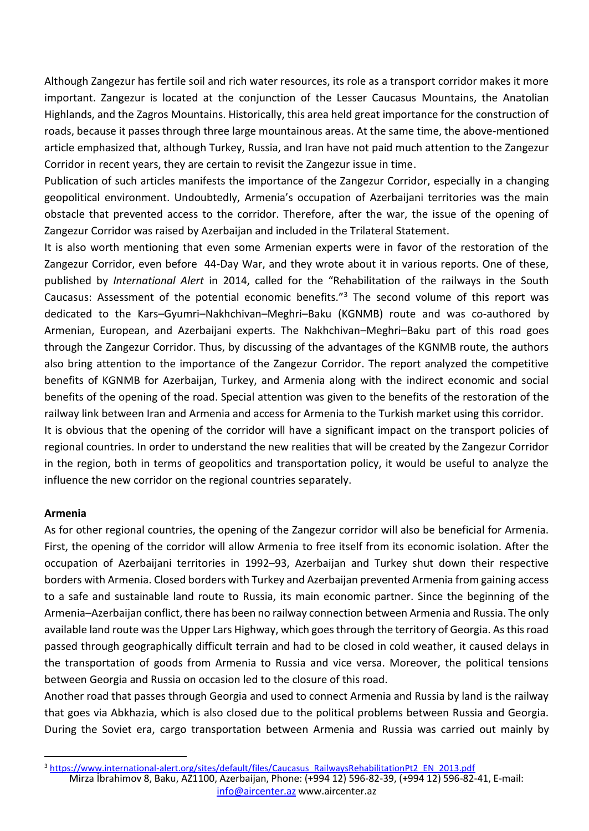Although Zangezur has fertile soil and rich water resources, its role as a transport corridor makes it more important. Zangezur is located at the conjunction of the Lesser Caucasus Mountains, the Anatolian Highlands, and the Zagros Mountains. Historically, this area held great importance for the construction of roads, because it passes through three large mountainous areas. At the same time, the above-mentioned article emphasized that, although Turkey, Russia, and Iran have not paid much attention to the Zangezur Corridor in recent years, they are certain to revisit the Zangezur issue in time.

Publication of such articles manifests the importance of the Zangezur Corridor, especially in a changing geopolitical environment. Undoubtedly, Armenia's occupation of Azerbaijani territories was the main obstacle that prevented access to the corridor. Therefore, after the war, the issue of the opening of Zangezur Corridor was raised by Azerbaijan and included in the Trilateral Statement.

It is also worth mentioning that even some Armenian experts were in favor of the restoration of the Zangezur Corridor, even before 44-Day War, and they wrote about it in various reports. One of these, published by *International Alert* in 2014, called for the "Rehabilitation of the railways in the South Caucasus: Assessment of the potential economic benefits." $3$  The second volume of this report was dedicated to the Kars–Gyumri–Nakhchivan–Meghri–Baku (KGNMB) route and was co-authored by Armenian, European, and Azerbaijani experts. The Nakhchivan–Meghri–Baku part of this road goes through the Zangezur Corridor. Thus, by discussing of the advantages of the KGNMB route, the authors also bring attention to the importance of the Zangezur Corridor. The report analyzed the competitive benefits of KGNMB for Azerbaijan, Turkey, and Armenia along with the indirect economic and social benefits of the opening of the road. Special attention was given to the benefits of the restoration of the railway link between Iran and Armenia and access for Armenia to the Turkish market using this corridor. It is obvious that the opening of the corridor will have a significant impact on the transport policies of regional countries. In order to understand the new realities that will be created by the Zangezur Corridor in the region, both in terms of geopolitics and transportation policy, it would be useful to analyze the

## **Armenia**

As for other regional countries, the opening of the Zangezur corridor will also be beneficial for Armenia. First, the opening of the corridor will allow Armenia to free itself from its economic isolation. After the occupation of Azerbaijani territories in 1992–93, Azerbaijan and Turkey shut down their respective borders with Armenia. Closed borders with Turkey and Azerbaijan prevented Armenia from gaining access to a safe and sustainable land route to Russia, its main economic partner. Since the beginning of the Armenia–Azerbaijan conflict, there has been no railway connection between Armenia and Russia. The only available land route was the Upper Lars Highway, which goes through the territory of Georgia. As this road passed through geographically difficult terrain and had to be closed in cold weather, it caused delays in the transportation of goods from Armenia to Russia and vice versa. Moreover, the political tensions between Georgia and Russia on occasion led to the closure of this road.

influence the new corridor on the regional countries separately.

Another road that passes through Georgia and used to connect Armenia and Russia by land is the railway that goes via Abkhazia, which is also closed due to the political problems between Russia and Georgia. During the Soviet era, cargo transportation between Armenia and Russia was carried out mainly by

Mirza İbrahimov 8, Baku, AZ1100, Azerbaijan, Phone: (+994 12) 596-82-39, (+994 12) 596-82-41, E-mail: [info@aircenter.az](mailto:info@aircenter.az) [www.aircenter.az](http://www.aircenter.az/) <sup>3</sup> [https://www.international-alert.org/sites/default/files/Caucasus\\_RailwaysRehabilitationPt2\\_EN\\_2013.pdf](https://www.international-alert.org/sites/default/files/Caucasus_RailwaysRehabilitationPt2_EN_2013.pdf)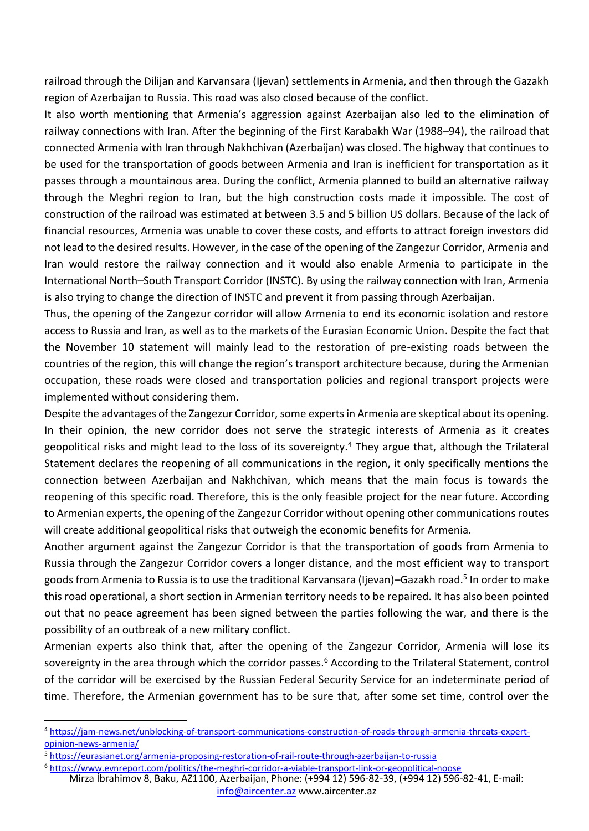railroad through the Dilijan and Karvansara (Ijevan) settlements in Armenia, and then through the Gazakh region of Azerbaijan to Russia. This road was also closed because of the conflict.

It also worth mentioning that Armenia's aggression against Azerbaijan also led to the elimination of railway connections with Iran. After the beginning of the First Karabakh War (1988–94), the railroad that connected Armenia with Iran through Nakhchivan (Azerbaijan) was closed. The highway that continues to be used for the transportation of goods between Armenia and Iran is inefficient for transportation as it passes through a mountainous area. During the conflict, Armenia planned to build an alternative railway through the Meghri region to Iran, but the high construction costs made it impossible. The cost of construction of the railroad was estimated at between 3.5 and 5 billion US dollars. Because of the lack of financial resources, Armenia was unable to cover these costs, and efforts to attract foreign investors did not lead to the desired results. However, in the case of the opening of the Zangezur Corridor, Armenia and Iran would restore the railway connection and it would also enable Armenia to participate in the International North–South Transport Corridor (INSTC). By using the railway connection with Iran, Armenia is also trying to change the direction of INSTC and prevent it from passing through Azerbaijan.

Thus, the opening of the Zangezur corridor will allow Armenia to end its economic isolation and restore access to Russia and Iran, as well as to the markets of the Eurasian Economic Union. Despite the fact that the November 10 statement will mainly lead to the restoration of pre-existing roads between the countries of the region, this will change the region's transport architecture because, during the Armenian occupation, these roads were closed and transportation policies and regional transport projects were implemented without considering them.

Despite the advantages of the Zangezur Corridor, some experts in Armenia are skeptical about its opening. In their opinion, the new corridor does not serve the strategic interests of Armenia as it creates geopolitical risks and might lead to the loss of its sovereignty.<sup>4</sup> They argue that, although the Trilateral Statement declares the reopening of all communications in the region, it only specifically mentions the connection between Azerbaijan and Nakhchivan, which means that the main focus is towards the reopening of this specific road. Therefore, this is the only feasible project for the near future. According to Armenian experts, the opening of the Zangezur Corridor without opening other communications routes will create additional geopolitical risks that outweigh the economic benefits for Armenia.

Another argument against the Zangezur Corridor is that the transportation of goods from Armenia to Russia through the Zangezur Corridor covers a longer distance, and the most efficient way to transport goods from Armenia to Russia is to use the traditional Karvansara (Ijevan)–Gazakh road.<sup>5</sup> In order to make this road operational, a short section in Armenian territory needs to be repaired. It has also been pointed out that no peace agreement has been signed between the parties following the war, and there is the possibility of an outbreak of a new military conflict.

Armenian experts also think that, after the opening of the Zangezur Corridor, Armenia will lose its sovereignty in the area through which the corridor passes.<sup>6</sup> According to the Trilateral Statement, control of the corridor will be exercised by the Russian Federal Security Service for an indeterminate period of time. Therefore, the Armenian government has to be sure that, after some set time, control over the

Mirza İbrahimov 8, Baku, AZ1100, Azerbaijan, Phone: (+994 12) 596-82-39, (+994 12) 596-82-41, E-mail: <sup>6</sup> <https://www.evnreport.com/politics/the-meghri-corridor-a-viable-transport-link-or-geopolitical-noose>

<sup>4</sup> [https://jam-news.net/unblocking-of-transport-communications-construction-of-roads-through-armenia-threats-expert](https://jam-news.net/unblocking-of-transport-communications-construction-of-roads-through-armenia-threats-expert-opinion-news-armenia/)[opinion-news-armenia/](https://jam-news.net/unblocking-of-transport-communications-construction-of-roads-through-armenia-threats-expert-opinion-news-armenia/)

<sup>5</sup> <https://eurasianet.org/armenia-proposing-restoration-of-rail-route-through-azerbaijan-to-russia>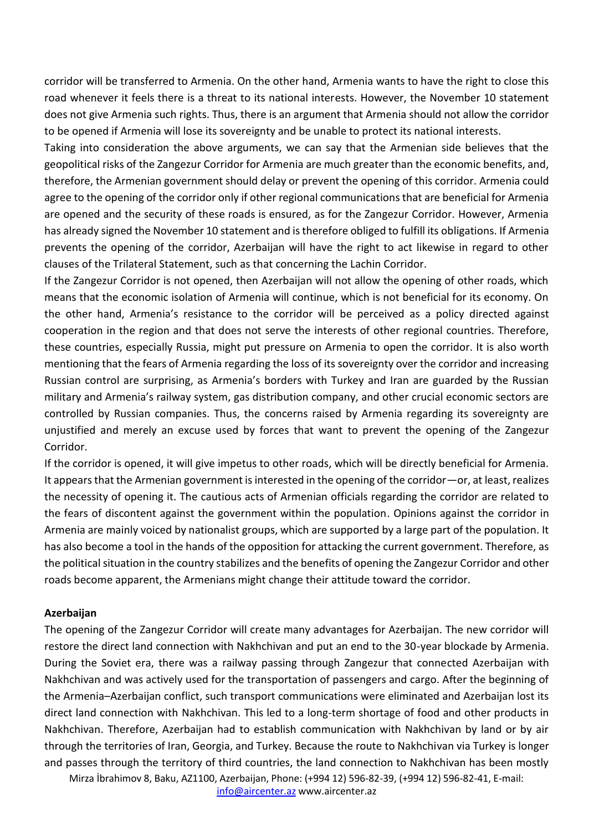corridor will be transferred to Armenia. On the other hand, Armenia wants to have the right to close this road whenever it feels there is a threat to its national interests. However, the November 10 statement does not give Armenia such rights. Thus, there is an argument that Armenia should not allow the corridor to be opened if Armenia will lose its sovereignty and be unable to protect its national interests.

Taking into consideration the above arguments, we can say that the Armenian side believes that the geopolitical risks of the Zangezur Corridor for Armenia are much greater than the economic benefits, and, therefore, the Armenian government should delay or prevent the opening of this corridor. Armenia could agree to the opening of the corridor only if other regional communications that are beneficial for Armenia are opened and the security of these roads is ensured, as for the Zangezur Corridor. However, Armenia has already signed the November 10 statement and is therefore obliged to fulfill its obligations. If Armenia prevents the opening of the corridor, Azerbaijan will have the right to act likewise in regard to other clauses of the Trilateral Statement, such as that concerning the Lachin Corridor.

If the Zangezur Corridor is not opened, then Azerbaijan will not allow the opening of other roads, which means that the economic isolation of Armenia will continue, which is not beneficial for its economy. On the other hand, Armenia's resistance to the corridor will be perceived as a policy directed against cooperation in the region and that does not serve the interests of other regional countries. Therefore, these countries, especially Russia, might put pressure on Armenia to open the corridor. It is also worth mentioning that the fears of Armenia regarding the loss of its sovereignty over the corridor and increasing Russian control are surprising, as Armenia's borders with Turkey and Iran are guarded by the Russian military and Armenia's railway system, gas distribution company, and other crucial economic sectors are controlled by Russian companies. Thus, the concerns raised by Armenia regarding its sovereignty are unjustified and merely an excuse used by forces that want to prevent the opening of the Zangezur Corridor.

If the corridor is opened, it will give impetus to other roads, which will be directly beneficial for Armenia. It appears that the Armenian government is interested in the opening of the corridor—or, at least, realizes the necessity of opening it. The cautious acts of Armenian officials regarding the corridor are related to the fears of discontent against the government within the population. Opinions against the corridor in Armenia are mainly voiced by nationalist groups, which are supported by a large part of the population. It has also become a tool in the hands of the opposition for attacking the current government. Therefore, as the political situation in the country stabilizes and the benefits of opening the Zangezur Corridor and other roads become apparent, the Armenians might change their attitude toward the corridor.

# **Azerbaijan**

The opening of the Zangezur Corridor will create many advantages for Azerbaijan. The new corridor will restore the direct land connection with Nakhchivan and put an end to the 30-year blockade by Armenia. During the Soviet era, there was a railway passing through Zangezur that connected Azerbaijan with Nakhchivan and was actively used for the transportation of passengers and cargo. After the beginning of the Armenia–Azerbaijan conflict, such transport communications were eliminated and Azerbaijan lost its direct land connection with Nakhchivan. This led to a long-term shortage of food and other products in Nakhchivan. Therefore, Azerbaijan had to establish communication with Nakhchivan by land or by air through the territories of Iran, Georgia, and Turkey. Because the route to Nakhchivan via Turkey is longer and passes through the territory of third countries, the land connection to Nakhchivan has been mostly

Mirza İbrahimov 8, Baku, AZ1100, Azerbaijan, Phone: (+994 12) 596-82-39, (+994 12) 596-82-41, E-mail: [info@aircenter.az](mailto:info@aircenter.az) [www.aircenter.az](http://www.aircenter.az/)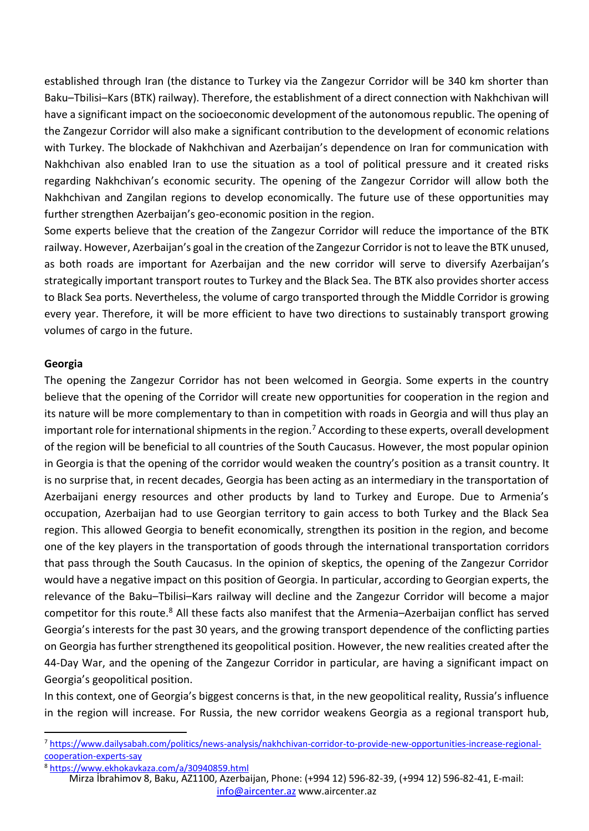established through Iran (the distance to Turkey via the Zangezur Corridor will be 340 km shorter than Baku–Tbilisi–Kars (BTK) railway). Therefore, the establishment of a direct connection with Nakhchivan will have a significant impact on the socioeconomic development of the autonomous republic. The opening of the Zangezur Corridor will also make a significant contribution to the development of economic relations with Turkey. The blockade of Nakhchivan and Azerbaijan's dependence on Iran for communication with Nakhchivan also enabled Iran to use the situation as a tool of political pressure and it created risks regarding Nakhchivan's economic security. The opening of the Zangezur Corridor will allow both the Nakhchivan and Zangilan regions to develop economically. The future use of these opportunities may further strengthen Azerbaijan's geo-economic position in the region.

Some experts believe that the creation of the Zangezur Corridor will reduce the importance of the BTK railway. However, Azerbaijan's goal in the creation of the Zangezur Corridor is not to leave the BTK unused, as both roads are important for Azerbaijan and the new corridor will serve to diversify Azerbaijan's strategically important transport routes to Turkey and the Black Sea. The BTK also provides shorter access to Black Sea ports. Nevertheless, the volume of cargo transported through the Middle Corridor is growing every year. Therefore, it will be more efficient to have two directions to sustainably transport growing volumes of cargo in the future.

## **Georgia**

The opening the Zangezur Corridor has not been welcomed in Georgia. Some experts in the country believe that the opening of the Corridor will create new opportunities for cooperation in the region and its nature will be more complementary to than in competition with roads in Georgia and will thus play an important role for international shipments in the region.<sup>7</sup> According to these experts, overall development of the region will be beneficial to all countries of the South Caucasus. However, the most popular opinion in Georgia is that the opening of the corridor would weaken the country's position as a transit country. It is no surprise that, in recent decades, Georgia has been acting as an intermediary in the transportation of Azerbaijani energy resources and other products by land to Turkey and Europe. Due to Armenia's occupation, Azerbaijan had to use Georgian territory to gain access to both Turkey and the Black Sea region. This allowed Georgia to benefit economically, strengthen its position in the region, and become one of the key players in the transportation of goods through the international transportation corridors that pass through the South Caucasus. In the opinion of skeptics, the opening of the Zangezur Corridor would have a negative impact on this position of Georgia. In particular, according to Georgian experts, the relevance of the Baku–Tbilisi–Kars railway will decline and the Zangezur Corridor will become a major competitor for this route.<sup>8</sup> All these facts also manifest that the Armenia-Azerbaijan conflict has served Georgia's interests for the past 30 years, and the growing transport dependence of the conflicting parties on Georgia has further strengthened its geopolitical position. However, the new realities created after the 44-Day War, and the opening of the Zangezur Corridor in particular, are having a significant impact on Georgia's geopolitical position.

In this context, one of Georgia's biggest concerns is that, in the new geopolitical reality, Russia's influence in the region will increase. For Russia, the new corridor weakens Georgia as a regional transport hub,

<sup>7</sup> [https://www.dailysabah.com/politics/news-analysis/nakhchivan-corridor-to-provide-new-opportunities-increase-regional](https://www.dailysabah.com/politics/news-analysis/nakhchivan-corridor-to-provide-new-opportunities-increase-regional-cooperation-experts-say)[cooperation-experts-say](https://www.dailysabah.com/politics/news-analysis/nakhchivan-corridor-to-provide-new-opportunities-increase-regional-cooperation-experts-say)

<sup>8</sup> <https://www.ekhokavkaza.com/a/30940859.html>

Mirza İbrahimov 8, Baku, AZ1100, Azerbaijan, Phone: (+994 12) 596-82-39, (+994 12) 596-82-41, E-mail: [info@aircenter.az](mailto:info@aircenter.az) [www.aircenter.az](http://www.aircenter.az/)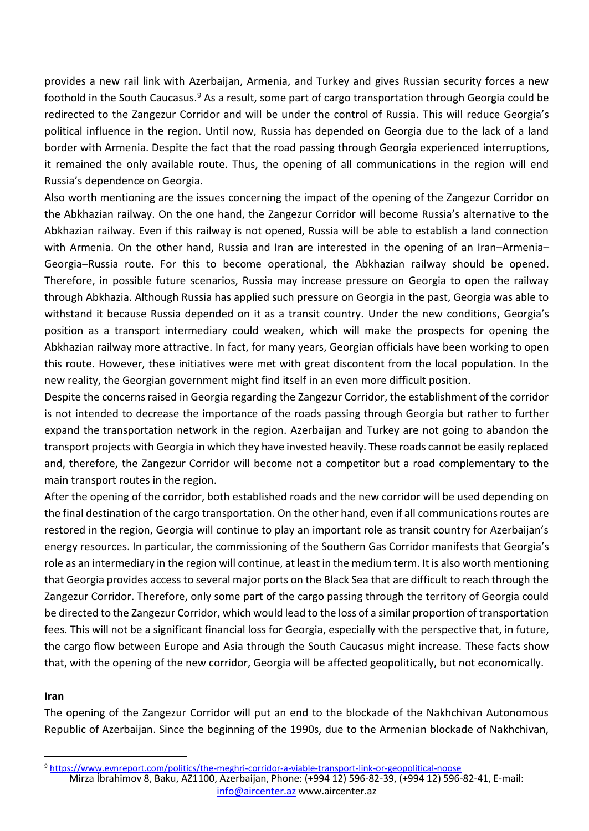provides a new rail link with Azerbaijan, Armenia, and Turkey and gives Russian security forces a new foothold in the South Caucasus.<sup>9</sup> As a result, some part of cargo transportation through Georgia could be redirected to the Zangezur Corridor and will be under the control of Russia. This will reduce Georgia's political influence in the region. Until now, Russia has depended on Georgia due to the lack of a land border with Armenia. Despite the fact that the road passing through Georgia experienced interruptions, it remained the only available route. Thus, the opening of all communications in the region will end Russia's dependence on Georgia.

Also worth mentioning are the issues concerning the impact of the opening of the Zangezur Corridor on the Abkhazian railway. On the one hand, the Zangezur Corridor will become Russia's alternative to the Abkhazian railway. Even if this railway is not opened, Russia will be able to establish a land connection with Armenia. On the other hand, Russia and Iran are interested in the opening of an Iran–Armenia– Georgia–Russia route. For this to become operational, the Abkhazian railway should be opened. Therefore, in possible future scenarios, Russia may increase pressure on Georgia to open the railway through Abkhazia. Although Russia has applied such pressure on Georgia in the past, Georgia was able to withstand it because Russia depended on it as a transit country. Under the new conditions, Georgia's position as a transport intermediary could weaken, which will make the prospects for opening the Abkhazian railway more attractive. In fact, for many years, Georgian officials have been working to open this route. However, these initiatives were met with great discontent from the local population. In the new reality, the Georgian government might find itself in an even more difficult position.

Despite the concerns raised in Georgia regarding the Zangezur Corridor, the establishment of the corridor is not intended to decrease the importance of the roads passing through Georgia but rather to further expand the transportation network in the region. Azerbaijan and Turkey are not going to abandon the transport projects with Georgia in which they have invested heavily. These roads cannot be easily replaced and, therefore, the Zangezur Corridor will become not a competitor but a road complementary to the main transport routes in the region.

After the opening of the corridor, both established roads and the new corridor will be used depending on the final destination of the cargo transportation. On the other hand, even if all communications routes are restored in the region, Georgia will continue to play an important role as transit country for Azerbaijan's energy resources. In particular, the commissioning of the Southern Gas Corridor manifests that Georgia's role as an intermediary in the region will continue, at least in the medium term. It is also worth mentioning that Georgia provides access to several major ports on the Black Sea that are difficult to reach through the Zangezur Corridor. Therefore, only some part of the cargo passing through the territory of Georgia could be directed to the Zangezur Corridor, which would lead to the loss of a similar proportion of transportation fees. This will not be a significant financial loss for Georgia, especially with the perspective that, in future, the cargo flow between Europe and Asia through the South Caucasus might increase. These facts show that, with the opening of the new corridor, Georgia will be affected geopolitically, but not economically.

# **Iran**

The opening of the Zangezur Corridor will put an end to the blockade of the Nakhchivan Autonomous Republic of Azerbaijan. Since the beginning of the 1990s, due to the Armenian blockade of Nakhchivan,

Mirza İbrahimov 8, Baku, AZ1100, Azerbaijan, Phone: (+994 12) 596-82-39, (+994 12) 596-82-41, E-mail: [info@aircenter.az](mailto:info@aircenter.az) [www.aircenter.az](http://www.aircenter.az/)

<sup>9</sup> <https://www.evnreport.com/politics/the-meghri-corridor-a-viable-transport-link-or-geopolitical-noose>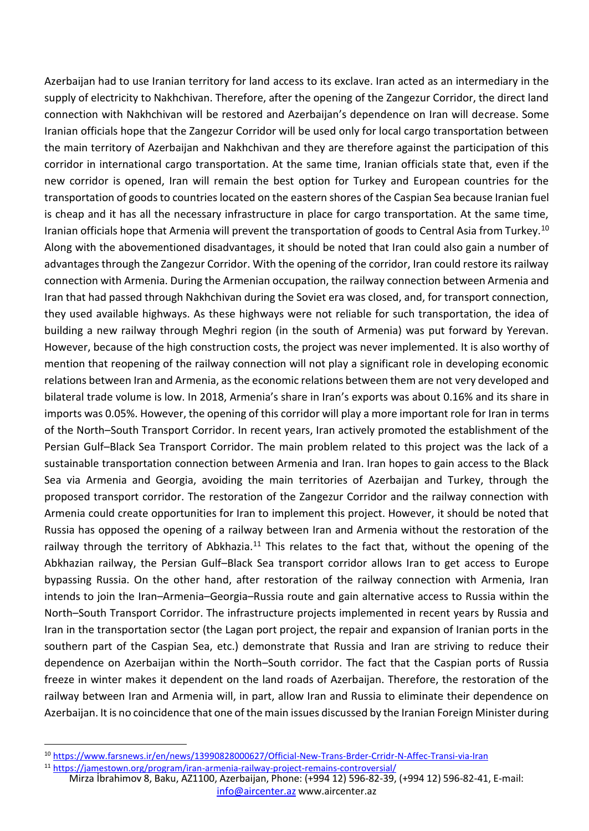Azerbaijan had to use Iranian territory for land access to its exclave. Iran acted as an intermediary in the supply of electricity to Nakhchivan. Therefore, after the opening of the Zangezur Corridor, the direct land connection with Nakhchivan will be restored and Azerbaijan's dependence on Iran will decrease. Some Iranian officials hope that the Zangezur Corridor will be used only for local cargo transportation between the main territory of Azerbaijan and Nakhchivan and they are therefore against the participation of this corridor in international cargo transportation. At the same time, Iranian officials state that, even if the new corridor is opened, Iran will remain the best option for Turkey and European countries for the transportation of goods to countries located on the eastern shores of the Caspian Sea because Iranian fuel is cheap and it has all the necessary infrastructure in place for cargo transportation. At the same time, Iranian officials hope that Armenia will prevent the transportation of goods to Central Asia from Turkey.<sup>10</sup> Along with the abovementioned disadvantages, it should be noted that Iran could also gain a number of advantages through the Zangezur Corridor. With the opening of the corridor, Iran could restore its railway connection with Armenia. During the Armenian occupation, the railway connection between Armenia and Iran that had passed through Nakhchivan during the Soviet era was closed, and, for transport connection, they used available highways. As these highways were not reliable for such transportation, the idea of building a new railway through Meghri region (in the south of Armenia) was put forward by Yerevan. However, because of the high construction costs, the project was never implemented. It is also worthy of mention that reopening of the railway connection will not play a significant role in developing economic relations between Iran and Armenia, as the economic relations between them are not very developed and bilateral trade volume is low. In 2018, Armenia's share in Iran's exports was about 0.16% and its share in imports was 0.05%. However, the opening of this corridor will play a more important role for Iran in terms of the North–South Transport Corridor. In recent years, Iran actively promoted the establishment of the Persian Gulf–Black Sea Transport Corridor. The main problem related to this project was the lack of a sustainable transportation connection between Armenia and Iran. Iran hopes to gain access to the Black Sea via Armenia and Georgia, avoiding the main territories of Azerbaijan and Turkey, through the proposed transport corridor. The restoration of the Zangezur Corridor and the railway connection with Armenia could create opportunities for Iran to implement this project. However, it should be noted that Russia has opposed the opening of a railway between Iran and Armenia without the restoration of the railway through the territory of Abkhazia.<sup>11</sup> This relates to the fact that, without the opening of the Abkhazian railway, the Persian Gulf–Black Sea transport corridor allows Iran to get access to Europe bypassing Russia. On the other hand, after restoration of the railway connection with Armenia, Iran intends to join the Iran–Armenia–Georgia–Russia route and gain alternative access to Russia within the North–South Transport Corridor. The infrastructure projects implemented in recent years by Russia and Iran in the transportation sector (the Lagan port project, the repair and expansion of Iranian ports in the southern part of the Caspian Sea, etc.) demonstrate that Russia and Iran are striving to reduce their dependence on Azerbaijan within the North–South corridor. The fact that the Caspian ports of Russia freeze in winter makes it dependent on the land roads of Azerbaijan. Therefore, the restoration of the railway between Iran and Armenia will, in part, allow Iran and Russia to eliminate their dependence on Azerbaijan. It is no coincidence that one of the main issues discussed by the Iranian Foreign Minister during

<sup>10</sup> <https://www.farsnews.ir/en/news/13990828000627/Official-New-Trans-Brder-Crridr-N-Affec-Transi-via-Iran>

Mirza İbrahimov 8, Baku, AZ1100, Azerbaijan, Phone: (+994 12) 596-82-39, (+994 12) 596-82-41, E-mail: <sup>11</sup> <https://jamestown.org/program/iran-armenia-railway-project-remains-controversial/>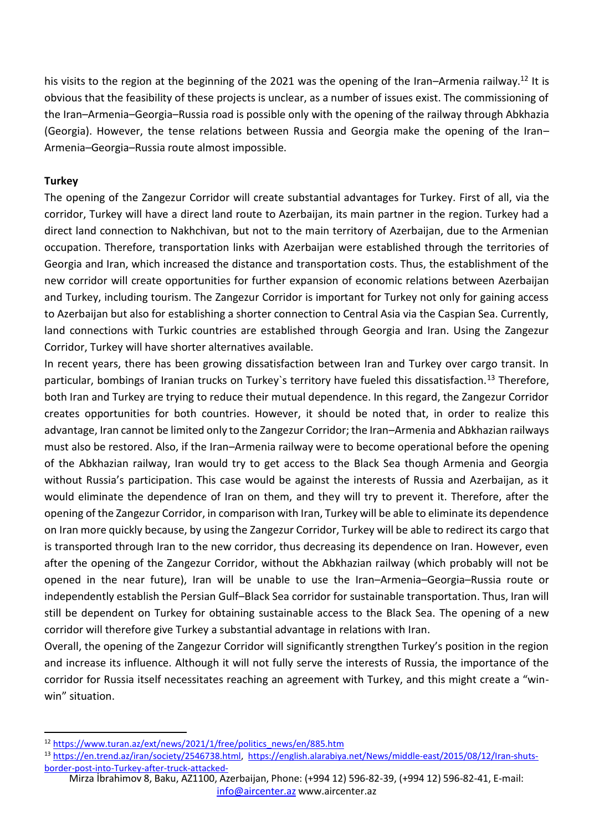his visits to the region at the beginning of the 2021 was the opening of the Iran–Armenia railway.<sup>12</sup> It is obvious that the feasibility of these projects is unclear, as a number of issues exist. The commissioning of the Iran–Armenia–Georgia–Russia road is possible only with the opening of the railway through Abkhazia (Georgia). However, the tense relations between Russia and Georgia make the opening of the Iran– Armenia–Georgia–Russia route almost impossible.

# **Turkey**

The opening of the Zangezur Corridor will create substantial advantages for Turkey. First of all, via the corridor, Turkey will have a direct land route to Azerbaijan, its main partner in the region. Turkey had a direct land connection to Nakhchivan, but not to the main territory of Azerbaijan, due to the Armenian occupation. Therefore, transportation links with Azerbaijan were established through the territories of Georgia and Iran, which increased the distance and transportation costs. Thus, the establishment of the new corridor will create opportunities for further expansion of economic relations between Azerbaijan and Turkey, including tourism. The Zangezur Corridor is important for Turkey not only for gaining access to Azerbaijan but also for establishing a shorter connection to Central Asia via the Caspian Sea. Currently, land connections with Turkic countries are established through Georgia and Iran. Using the Zangezur Corridor, Turkey will have shorter alternatives available.

In recent years, there has been growing dissatisfaction between Iran and Turkey over cargo transit. In particular, bombings of Iranian trucks on Turkey's territory have fueled this dissatisfaction.<sup>13</sup> Therefore, both Iran and Turkey are trying to reduce their mutual dependence. In this regard, the Zangezur Corridor creates opportunities for both countries. However, it should be noted that, in order to realize this advantage, Iran cannot be limited only to the Zangezur Corridor; the Iran–Armenia and Abkhazian railways must also be restored. Also, if the Iran–Armenia railway were to become operational before the opening of the Abkhazian railway, Iran would try to get access to the Black Sea though Armenia and Georgia without Russia's participation. This case would be against the interests of Russia and Azerbaijan, as it would eliminate the dependence of Iran on them, and they will try to prevent it. Therefore, after the opening of the Zangezur Corridor, in comparison with Iran, Turkey will be able to eliminate its dependence on Iran more quickly because, by using the Zangezur Corridor, Turkey will be able to redirect its cargo that is transported through Iran to the new corridor, thus decreasing its dependence on Iran. However, even after the opening of the Zangezur Corridor, without the Abkhazian railway (which probably will not be opened in the near future), Iran will be unable to use the Iran–Armenia–Georgia–Russia route or independently establish the Persian Gulf–Black Sea corridor for sustainable transportation. Thus, Iran will still be dependent on Turkey for obtaining sustainable access to the Black Sea. The opening of a new corridor will therefore give Turkey a substantial advantage in relations with Iran.

Overall, the opening of the Zangezur Corridor will significantly strengthen Turkey's position in the region and increase its influence. Although it will not fully serve the interests of Russia, the importance of the corridor for Russia itself necessitates reaching an agreement with Turkey, and this might create a "winwin" situation.

<sup>12</sup> [https://www.turan.az/ext/news/2021/1/free/politics\\_news/en/885.htm](https://www.turan.az/ext/news/2021/1/free/politics_news/en/885.htm)

<sup>13</sup> [https://en.trend.az/iran/society/2546738.html,](https://en.trend.az/iran/society/2546738.html) [https://english.alarabiya.net/News/middle-east/2015/08/12/Iran-shuts](https://english.alarabiya.net/News/middle-east/2015/08/12/Iran-shuts-border-post-into-Turkey-after-truck-attacked-)[border-post-into-Turkey-after-truck-attacked-](https://english.alarabiya.net/News/middle-east/2015/08/12/Iran-shuts-border-post-into-Turkey-after-truck-attacked-)

Mirza İbrahimov 8, Baku, AZ1100, Azerbaijan, Phone: (+994 12) 596-82-39, (+994 12) 596-82-41, E-mail: [info@aircenter.az](mailto:info@aircenter.az) [www.aircenter.az](http://www.aircenter.az/)